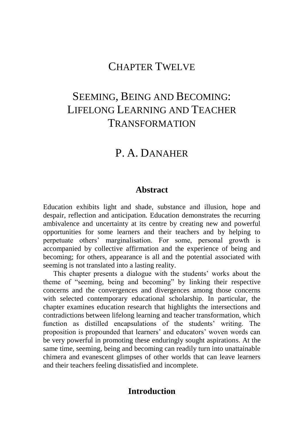## CHAPTER TWELVE

# SEEMING, BEING AND BECOMING: LIFELONG LEARNING AND TEACHER TRANSFORMATION

## P A DANAHER

#### **Abstract**

Education exhibits light and shade, substance and illusion, hope and despair, reflection and anticipation. Education demonstrates the recurring ambivalence and uncertainty at its centre by creating new and powerful opportunities for some learners and their teachers and by helping to perpetuate others' marginalisation. For some, personal growth is accompanied by collective affirmation and the experience of being and becoming; for others, appearance is all and the potential associated with seeming is not translated into a lasting reality.

This chapter presents a dialogue with the students' works about the theme of "seeming, being and becoming" by linking their respective concerns and the convergences and divergences among those concerns with selected contemporary educational scholarship. In particular, the chapter examines education research that highlights the intersections and contradictions between lifelong learning and teacher transformation, which function as distilled encapsulations of the students' writing. The proposition is propounded that learners' and educators' woven words can be very powerful in promoting these enduringly sought aspirations. At the same time, seeming, being and becoming can readily turn into unattainable chimera and evanescent glimpses of other worlds that can leave learners and their teachers feeling dissatisfied and incomplete.

### **Introduction**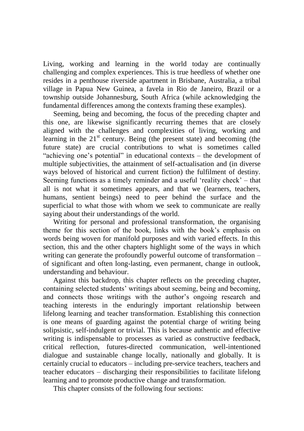Living, working and learning in the world today are continually challenging and complex experiences. This is true heedless of whether one resides in a penthouse riverside apartment in Brisbane, Australia, a tribal village in Papua New Guinea, a favela in Rio de Janeiro, Brazil or a township outside Johannesburg, South Africa (while acknowledging the fundamental differences among the contexts framing these examples).

Seeming, being and becoming, the focus of the preceding chapter and this one, are likewise significantly recurring themes that are closely aligned with the challenges and complexities of living, working and learning in the  $21<sup>st</sup>$  century. Being (the present state) and becoming (the future state) are crucial contributions to what is sometimes called "achieving one's potential" in educational contexts – the development of multiple subjectivities, the attainment of self-actualisation and (in diverse ways beloved of historical and current fiction) the fulfilment of destiny. Seeming functions as a timely reminder and a useful 'reality check' – that all is not what it sometimes appears, and that we (learners, teachers, humans, sentient beings) need to peer behind the surface and the superficial to what those with whom we seek to communicate are really saying about their understandings of the world.

Writing for personal and professional transformation, the organising theme for this section of the book, links with the book's emphasis on words being woven for manifold purposes and with varied effects. In this section, this and the other chapters highlight some of the ways in which writing can generate the profoundly powerful outcome of transformation – of significant and often long-lasting, even permanent, change in outlook, understanding and behaviour.

Against this backdrop, this chapter reflects on the preceding chapter, containing selected students' writings about seeming, being and becoming, and connects those writings with the author's ongoing research and teaching interests in the enduringly important relationship between lifelong learning and teacher transformation. Establishing this connection is one means of guarding against the potential charge of writing being solipsistic, self-indulgent or trivial. This is because authentic and effective writing is indispensable to processes as varied as constructive feedback, critical reflection, futures-directed communication, well-intentioned dialogue and sustainable change locally, nationally and globally. It is certainly crucial to educators – including pre-service teachers, teachers and teacher educators – discharging their responsibilities to facilitate lifelong learning and to promote productive change and transformation.

This chapter consists of the following four sections: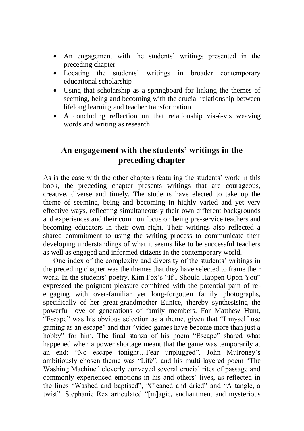- An engagement with the students' writings presented in the preceding chapter
- Locating the students' writings in broader contemporary educational scholarship
- Using that scholarship as a springboard for linking the themes of seeming, being and becoming with the crucial relationship between lifelong learning and teacher transformation
- A concluding reflection on that relationship vis-à-vis weaving words and writing as research.

## **An engagement with the students' writings in the preceding chapter**

As is the case with the other chapters featuring the students' work in this book, the preceding chapter presents writings that are courageous, creative, diverse and timely. The students have elected to take up the theme of seeming, being and becoming in highly varied and yet very effective ways, reflecting simultaneously their own different backgrounds and experiences and their common focus on being pre-service teachers and becoming educators in their own right. Their writings also reflected a shared commitment to using the writing process to communicate their developing understandings of what it seems like to be successful teachers as well as engaged and informed citizens in the contemporary world.

One index of the complexity and diversity of the students' writings in the preceding chapter was the themes that they have selected to frame their work. In the students' poetry, Kim Fox's "If I Should Happen Upon You" expressed the poignant pleasure combined with the potential pain of reengaging with over-familiar yet long-forgotten family photographs, specifically of her great-grandmother Eunice, thereby synthesising the powerful love of generations of family members. For Matthew Hunt, "Escape" was his obvious selection as a theme, given that "I myself use gaming as an escape" and that "video games have become more than just a hobby" for him. The final stanza of his poem "Escape" shared what happened when a power shortage meant that the game was temporarily at an end: "No escape tonight…Fear unplugged". John Mulroney's ambitiously chosen theme was "Life", and his multi-layered poem "The Washing Machine" cleverly conveyed several crucial rites of passage and commonly experienced emotions in his and others' lives, as reflected in the lines "Washed and baptised", "Cleaned and dried" and "A tangle, a twist". Stephanie Rex articulated "[m]agic, enchantment and mysterious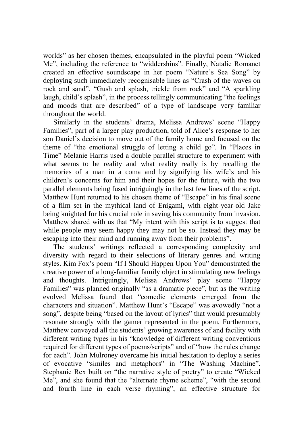worlds" as her chosen themes, encapsulated in the playful poem "Wicked Me", including the reference to "widdershins". Finally, Natalie Romanet created an effective soundscape in her poem "Nature's Sea Song" by deploying such immediately recognisable lines as "Crash of the waves on rock and sand", "Gush and splash, trickle from rock" and "A sparkling laugh, child's splash", in the process tellingly communicating "the feelings and moods that are described" of a type of landscape very familiar throughout the world.

Similarly in the students' drama, Melissa Andrews' scene "Happy Families", part of a larger play production, told of Alice's response to her son Daniel's decision to move out of the family home and focused on the theme of "the emotional struggle of letting a child go". In "Places in Time" Melanie Harris used a double parallel structure to experiment with what seems to be reality and what reality really is by recalling the memories of a man in a coma and by signifying his wife's and his children's concerns for him and their hopes for the future, with the two parallel elements being fused intriguingly in the last few lines of the script. Matthew Hunt returned to his chosen theme of "Escape" in his final scene of a film set in the mythical land of Enigami, with eight-year-old Jake being knighted for his crucial role in saving his community from invasion. Matthew shared with us that "My intent with this script is to suggest that while people may seem happy they may not be so. Instead they may be escaping into their mind and running away from their problems".

The students' writings reflected a corresponding complexity and diversity with regard to their selections of literary genres and writing styles. Kim Fox's poem "If I Should Happen Upon You" demonstrated the creative power of a long-familiar family object in stimulating new feelings and thoughts. Intriguingly, Melissa Andrews' play scene "Happy Families" was planned originally "as a dramatic piece", but as the writing evolved Melissa found that "comedic elements emerged from the characters and situation". Matthew Hunt's "Escape" was avowedly "not a song", despite being "based on the layout of lyrics" that would presumably resonate strongly with the gamer represented in the poem. Furthermore, Matthew conveyed all the students' growing awareness of and facility with different writing types in his "knowledge of different writing conventions required for different types of poems/scripts" and of "how the rules change for each". John Mulroney overcame his initial hesitation to deploy a series of evocative "similes and metaphors" in "The Washing Machine". Stephanie Rex built on "the narrative style of poetry" to create "Wicked Me", and she found that the "alternate rhyme scheme", "with the second and fourth line in each verse rhyming", an effective structure for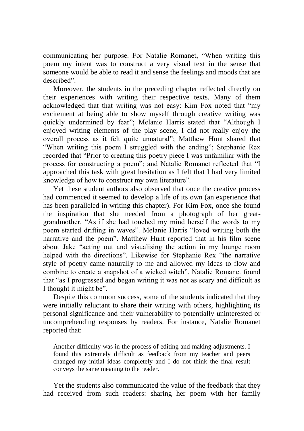communicating her purpose. For Natalie Romanet, "When writing this poem my intent was to construct a very visual text in the sense that someone would be able to read it and sense the feelings and moods that are described".

Moreover, the students in the preceding chapter reflected directly on their experiences with writing their respective texts. Many of them acknowledged that that writing was not easy: Kim Fox noted that "my excitement at being able to show myself through creative writing was quickly undermined by fear"; Melanie Harris stated that "Although I enjoyed writing elements of the play scene, I did not really enjoy the overall process as it felt quite unnatural"; Matthew Hunt shared that "When writing this poem I struggled with the ending"; Stephanie Rex recorded that "Prior to creating this poetry piece I was unfamiliar with the process for constructing a poem"; and Natalie Romanet reflected that "I approached this task with great hesitation as I felt that I had very limited knowledge of how to construct my own literature".

Yet these student authors also observed that once the creative process had commenced it seemed to develop a life of its own (an experience that has been paralleled in writing this chapter). For Kim Fox, once she found the inspiration that she needed from a photograph of her greatgrandmother, "As if she had touched my mind herself the words to my poem started drifting in waves". Melanie Harris "loved writing both the narrative and the poem". Matthew Hunt reported that in his film scene about Jake "acting out and visualising the action in my lounge room helped with the directions". Likewise for Stephanie Rex "the narrative style of poetry came naturally to me and allowed my ideas to flow and combine to create a snapshot of a wicked witch". Natalie Romanet found that "as I progressed and began writing it was not as scary and difficult as I thought it might be".

Despite this common success, some of the students indicated that they were initially reluctant to share their writing with others, highlighting its personal significance and their vulnerability to potentially uninterested or uncomprehending responses by readers. For instance, Natalie Romanet reported that:

Another difficulty was in the process of editing and making adjustments. I found this extremely difficult as feedback from my teacher and peers changed my initial ideas completely and I do not think the final result conveys the same meaning to the reader.

Yet the students also communicated the value of the feedback that they had received from such readers: sharing her poem with her family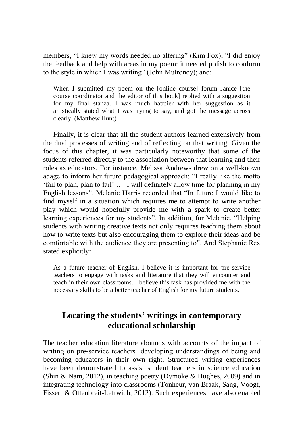members, "I knew my words needed no altering" (Kim Fox); "I did enjoy the feedback and help with areas in my poem: it needed polish to conform to the style in which I was writing" (John Mulroney); and:

When I submitted my poem on the [online course] forum Janice [the course coordinator and the editor of this book] replied with a suggestion for my final stanza. I was much happier with her suggestion as it artistically stated what I was trying to say, and got the message across clearly. (Matthew Hunt)

Finally, it is clear that all the student authors learned extensively from the dual processes of writing and of reflecting on that writing. Given the focus of this chapter, it was particularly noteworthy that some of the students referred directly to the association between that learning and their roles as educators. For instance, Melissa Andrews drew on a well-known adage to inform her future pedagogical approach: "I really like the motto 'fail to plan, plan to fail' …. I will definitely allow time for planning in my English lessons". Melanie Harris recorded that "In future I would like to find myself in a situation which requires me to attempt to write another play which would hopefully provide me with a spark to create better learning experiences for my students". In addition, for Melanie, "Helping students with writing creative texts not only requires teaching them about how to write texts but also encouraging them to explore their ideas and be comfortable with the audience they are presenting to". And Stephanie Rex stated explicitly:

As a future teacher of English, I believe it is important for pre-service teachers to engage with tasks and literature that they will encounter and teach in their own classrooms. I believe this task has provided me with the necessary skills to be a better teacher of English for my future students.

## **Locating the students' writings in contemporary educational scholarship**

The teacher education literature abounds with accounts of the impact of writing on pre-service teachers' developing understandings of being and becoming educators in their own right. Structured writing experiences have been demonstrated to assist student teachers in science education (Shin & Nam, 2012), in teaching poetry (Dymoke & Hughes, 2009) and in integrating technology into classrooms (Tonheur, van Braak, Sang, Voogt, Fisser, & Ottenbreit-Leftwich, 2012). Such experiences have also enabled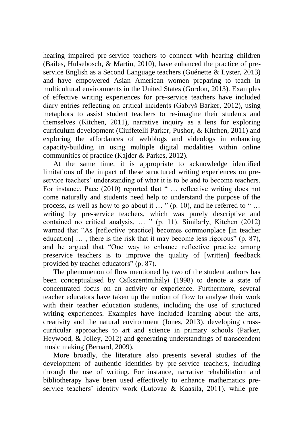hearing impaired pre-service teachers to connect with hearing children (Bailes, Hulsebosch, & Martin, 2010), have enhanced the practice of preservice English as a Second Language teachers (Guénette & Lyster, 2013) and have empowered Asian American women preparing to teach in multicultural environments in the United States (Gordon, 2013). Examples of effective writing experiences for pre-service teachers have included diary entries reflecting on critical incidents (Gabryś-Barker, 2012), using metaphors to assist student teachers to re-imagine their students and themselves (Kitchen, 2011), narrative inquiry as a lens for exploring curriculum development (Ciuffetelli Parker, Pushor, & Kitchen, 2011) and exploring the affordances of webblogs and videologs in enhancing capacity-building in using multiple digital modalities within online communities of practice (Kajder & Parkes, 2012).

At the same time, it is appropriate to acknowledge identified limitations of the impact of these structured writing experiences on preservice teachers' understanding of what it is to be and to become teachers. For instance, Pace (2010) reported that " ... reflective writing does not come naturally and students need help to understand the purpose of the process, as well as how to go about it … " (p. 10), and he referred to " … writing by pre-service teachers, which was purely descriptive and contained no critical analysis, … " (p. 11). Similarly, Kitchen (2012) warned that "As [reflective practice] becomes commonplace [in teacher education] … , there is the risk that it may become less rigorous" (p. 87), and he argued that "One way to enhance reflective practice among preservice teachers is to improve the quality of [written] feedback provided by teacher educators" (p. 87).

The phenomenon of flow mentioned by two of the student authors has been conceptualised by Csíkszentmihályi (1998) to denote a state of concentrated focus on an activity or experience. Furthermore, several teacher educators have taken up the notion of flow to analyse their work with their teacher education students, including the use of structured writing experiences. Examples have included learning about the arts, creativity and the natural environment (Jones, 2013), developing crosscurricular approaches to art and science in primary schools (Parker, Heywood, & Jolley, 2012) and generating understandings of transcendent music making (Bernard, 2009).

More broadly, the literature also presents several studies of the development of authentic identities by pre-service teachers, including through the use of writing. For instance, narrative rehabilitation and bibliotherapy have been used effectively to enhance mathematics preservice teachers' identity work (Lutovac & Kaasila, 2011), while pre-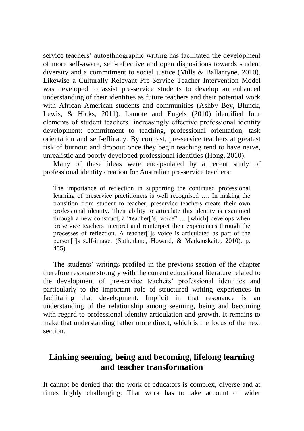service teachers' autoethnographic writing has facilitated the development of more self-aware, self-reflective and open dispositions towards student diversity and a commitment to social justice (Mills & Ballantyne, 2010). Likewise a Culturally Relevant Pre-Service Teacher Intervention Model was developed to assist pre-service students to develop an enhanced understanding of their identities as future teachers and their potential work with African American students and communities (Ashby Bey, Blunck, Lewis, & Hicks, 2011). Lamote and Engels (2010) identified four elements of student teachers' increasingly effective professional identity development: commitment to teaching, professional orientation, task orientation and self-efficacy. By contrast, pre-service teachers at greatest risk of burnout and dropout once they begin teaching tend to have naïve, unrealistic and poorly developed professional identities (Hong, 2010).

Many of these ideas were encapsulated by a recent study of professional identity creation for Australian pre-service teachers:

The importance of reflection in supporting the continued professional learning of preservice practitioners is well recognised …. In making the transition from student to teacher, preservice teachers create their own professional identity. Their ability to articulate this identity is examined through a new construct, a "teacher['s] voice" … [which] develops when preservice teachers interpret and reinterpret their experiences through the processes of reflection. A teacher[']s voice is articulated as part of the person[']s self-image. (Sutherland, Howard, & Markauskaite, 2010), p. 455)

The students' writings profiled in the previous section of the chapter therefore resonate strongly with the current educational literature related to the development of pre-service teachers' professional identities and particularly to the important role of structured writing experiences in facilitating that development. Implicit in that resonance is an understanding of the relationship among seeming, being and becoming with regard to professional identity articulation and growth. It remains to make that understanding rather more direct, which is the focus of the next section.

## **Linking seeming, being and becoming, lifelong learning and teacher transformation**

It cannot be denied that the work of educators is complex, diverse and at times highly challenging. That work has to take account of wider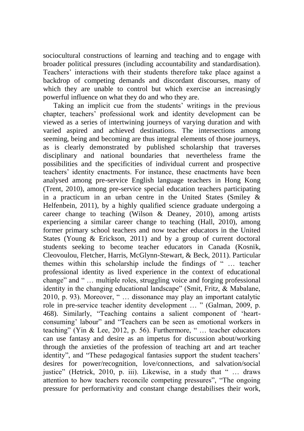sociocultural constructions of learning and teaching and to engage with broader political pressures (including accountability and standardisation). Teachers' interactions with their students therefore take place against a backdrop of competing demands and discordant discourses, many of which they are unable to control but which exercise an increasingly powerful influence on what they do and who they are.

Taking an implicit cue from the students' writings in the previous chapter, teachers' professional work and identity development can be viewed as a series of intertwining journeys of varying duration and with varied aspired and achieved destinations. The intersections among seeming, being and becoming are thus integral elements of those journeys, as is clearly demonstrated by published scholarship that traverses disciplinary and national boundaries that nevertheless frame the possibilities and the specificities of individual current and prospective teachers' identity enactments. For instance, these enactments have been analysed among pre-service English language teachers in Hong Kong (Trent, 2010), among pre-service special education teachers participating in a practicum in an urban centre in the United States (Smiley & Helfenbein, 2011), by a highly qualified science graduate undergoing a career change to teaching (Wilson & Deaney, 2010), among artists experiencing a similar career change to teaching (Hall, 2010), among former primary school teachers and now teacher educators in the United States (Young & Erickson, 2011) and by a group of current doctoral students seeking to become teacher educators in Canada (Kosnik, Cleovoulou, Fletcher, Harris, McGlynn-Stewart, & Beck, 2011). Particular themes within this scholarship include the findings of " … teacher professional identity as lived experience in the context of educational change" and " … multiple roles, struggling voice and forging professional identity in the changing educational landscape" (Smit, Fritz, & Mabalane, 2010, p. 93). Moreover, " … dissonance may play an important catalytic role in pre-service teacher identity development … " (Galman, 2009, p. 468). Similarly, "Teaching contains a salient component of 'heartconsuming' labour" and "Teachers can be seen as emotional workers in teaching" (Yin & Lee, 2012, p. 56). Furthermore, " … teacher educators can use fantasy and desire as an impetus for discussion about/working through the anxieties of the profession of teaching art and art teacher identity", and "These pedagogical fantasies support the student teachers' desires for power/recognition, love/connections, and salvation/social justice" (Hetrick, 2010, p. iii). Likewise, in a study that " … draws attention to how teachers reconcile competing pressures", "The ongoing pressure for performativity and constant change destabilises their work,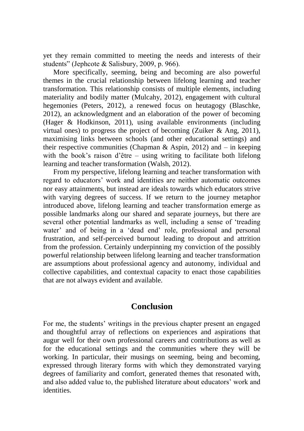yet they remain committed to meeting the needs and interests of their students" (Jephcote & Salisbury, 2009, p. 966).

More specifically, seeming, being and becoming are also powerful themes in the crucial relationship between lifelong learning and teacher transformation. This relationship consists of multiple elements, including materiality and bodily matter (Mulcahy, 2012), engagement with cultural hegemonies (Peters, 2012), a renewed focus on heutagogy (Blaschke, 2012), an acknowledgment and an elaboration of the power of becoming (Hager & Hodkinson, 2011), using available environments (including virtual ones) to progress the project of becoming (Zuiker  $\&$  Ang, 2011), maximising links between schools (and other educational settings) and their respective communities (Chapman & Aspin, 2012) and  $-$  in keeping with the book's raison d'être – using writing to facilitate both lifelong learning and teacher transformation (Walsh, 2012).

From my perspective, lifelong learning and teacher transformation with regard to educators' work and identities are neither automatic outcomes nor easy attainments, but instead are ideals towards which educators strive with varying degrees of success. If we return to the journey metaphor introduced above, lifelong learning and teacher transformation emerge as possible landmarks along our shared and separate journeys, but there are several other potential landmarks as well, including a sense of 'treading water' and of being in a 'dead end' role, professional and personal frustration, and self-perceived burnout leading to dropout and attrition from the profession. Certainly underpinning my conviction of the possibly powerful relationship between lifelong learning and teacher transformation are assumptions about professional agency and autonomy, individual and collective capabilities, and contextual capacity to enact those capabilities that are not always evident and available.

### **Conclusion**

For me, the students' writings in the previous chapter present an engaged and thoughtful array of reflections on experiences and aspirations that augur well for their own professional careers and contributions as well as for the educational settings and the communities where they will be working. In particular, their musings on seeming, being and becoming, expressed through literary forms with which they demonstrated varying degrees of familiarity and comfort, generated themes that resonated with, and also added value to, the published literature about educators' work and **identities**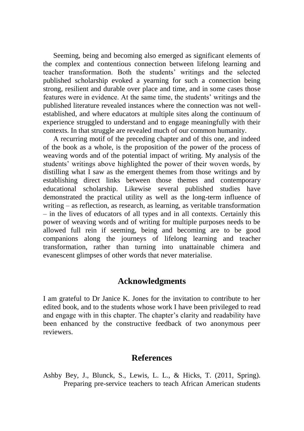Seeming, being and becoming also emerged as significant elements of the complex and contentious connection between lifelong learning and teacher transformation. Both the students' writings and the selected published scholarship evoked a yearning for such a connection being strong, resilient and durable over place and time, and in some cases those features were in evidence. At the same time, the students' writings and the published literature revealed instances where the connection was not wellestablished, and where educators at multiple sites along the continuum of experience struggled to understand and to engage meaningfully with their contexts. In that struggle are revealed much of our common humanity.

A recurring motif of the preceding chapter and of this one, and indeed of the book as a whole, is the proposition of the power of the process of weaving words and of the potential impact of writing. My analysis of the students' writings above highlighted the power of their woven words, by distilling what I saw as the emergent themes from those writings and by establishing direct links between those themes and contemporary educational scholarship. Likewise several published studies have demonstrated the practical utility as well as the long-term influence of writing – as reflection, as research, as learning, as veritable transformation – in the lives of educators of all types and in all contexts. Certainly this power of weaving words and of writing for multiple purposes needs to be allowed full rein if seeming, being and becoming are to be good companions along the journeys of lifelong learning and teacher transformation, rather than turning into unattainable chimera and evanescent glimpses of other words that never materialise.

#### **Acknowledgments**

I am grateful to Dr Janice K. Jones for the invitation to contribute to her edited book, and to the students whose work I have been privileged to read and engage with in this chapter. The chapter's clarity and readability have been enhanced by the constructive feedback of two anonymous peer reviewers.

#### **References**

Ashby Bey, J., Blunck, S., Lewis, L. L., & Hicks, T. (2011, Spring). Preparing pre-service teachers to teach African American students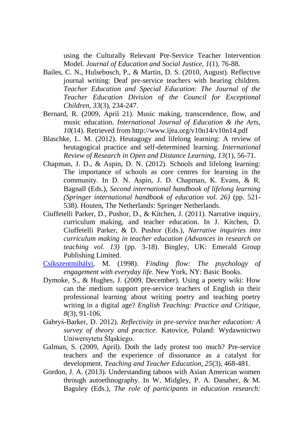using the Culturally Relevant Pre-Service Teacher Intervention Model. *Journal of Education and Social Justice, 1*(1), 76-88.

- Bailes, C. N., Hulsebosch, P., & Martin, D. S. (2010, August). Reflective journal writing: Deaf pre-service teachers with hearing children. *Teacher Education and Special Education: The Journal of the Teacher Education Division of the Council for Exceptional Children, 33*(3), 234-247.
- Bernard, R. (2009, April 21). Music making, transcendence, flow, and music education. *International Journal of Education & the Arts, 10*(14). Retrieved from http://www.ijea.org/v10n14/v10n14.pdf
- Blaschke, L. M. (2012). Heutagogy and lifelong learning: A review of heutagogical practice and self-determined learning. *International Review of Research in Open and Distance Learning, 13*(1), 56-71.
- Chapman, J. D., & Aspin, D. N. (2012). Schools and lifelong learning: The importance of schools as core centres for learning in the community. In D. N. Aspin, J. D. Chapman, K. Evans, & R. Bagnall (Eds.), *Second international handbook of lifelong learning (Springer international handbook of education vol. 26)* (pp. 521- 538). Houten, The Netherlands: Springer Netherlands.
- Ciuffetelli Parker, D., Pushor, D., & Kitchen, J. (2011). Narrative inquiry, curriculum making, and teacher education. In J. Kitchen, D. Ciuffetelli Parker, & D. Pushor (Eds.), *Narrative inquiries into curriculum making in teacher education (Advances in research on teaching vol. 13)* (pp. 3-18). Bingley, UK: Emerald Group Publishing Limited.
- [Csíkszentmihályi,](http://en.wikipedia.org/wiki/Mihaly_Csikszentmihalyi) M. (1998). *Finding flow: The psychology of engagement with everyday life.* New York, NY: Basic Books.
- Dymoke, S., & Hughes, J. (2009, December). Using a poetry wiki: How can the medium support pre-service teachers of English in their professional learning about writing poetry and teaching poetry writing in a digital age? *English Teaching: Practice and Critique, 8*(3), 91-106.
- Gabryś-Barker, D. 2012). *Reflectivity in pre-service teacher education: A survey of theory and practice.* Katovice, Poland: Wydawnictwo Uniwersytetu Śląskiego.
- Galman, S. (2009, April). Doth the lady protest too much? Pre-service teachers and the experience of dissonance as a catalyst for development. *Teaching and Teacher Education, 25*(3), 468-481.
- Gordon, J. A. (2013). Understanding taboos with Asian American women through autoethnography. In W. Midgley, P. A. Danaher, & M. Baguley (Eds.), *The role of participants in education research:*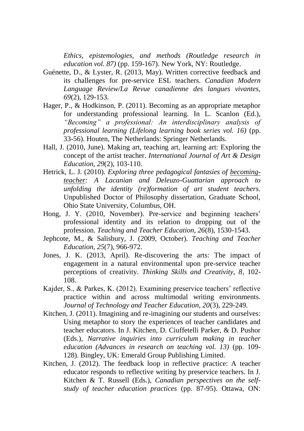*Ethics, epistemologies, and methods (Routledge research in education vol. 87)* (pp. 159-167). New York, NY: Routledge.

- Guénette, D., & Lyster, R. (2013, May). Written corrective feedback and its challenges for pre-service ESL teachers. *Canadian Modern Language Review/La Revue canadienne des langues vivantes, 69*(2), 129-153*.*
- Hager, P., & Hodkinson, P. (2011). Becoming as an appropriate metaphor for understanding professional learning. In L. Scanlon (Ed.), *"Becoming" a professional: An interdisciplinary analysis of professional learning (Lifelong learning book series vol. 16)* (pp. 33-56). Houten, The Netherlands: Springer Netherlands.
- Hall, J. (2010, June). Making art, teaching art, learning art: Exploring the concept of the artist teacher. *International Journal of Art & Design Education, 29*(2), 103-110.
- Hetrick, L. J. (2010). *Exploring three pedagogical fantasies of becomingteacher: A Lacanian and Deleuzo-Guattarian approach to unfolding the identity (re)formation of art student teachers.*  Unpublished Doctor of Philosophy dissertation, Graduate School, Ohio State University, Columbus, OH.
- Hong, J. Y. (2010, November). Pre-service and beginning teachers' professional identity and its relation to dropping out of the profession. *Teaching and Teacher Education, 26*(8), 1530-1543.
- Jephcote, M., & Salisbury, J. (2009, October). *Teaching and Teacher Education, 25*(7), 966-972.
- Jones, J. K. (2013, April). Re-discovering the arts: The impact of engagement in a natural environmental upon pre-service teacher perceptions of creativity. *Thinking Skills and Creativity, 8*, 102- 108.
- Kajder, S., & Parkes, K. (2012). Examining preservice teachers' reflective practice within and across multimodal writing environments. *Journal of Technology and Teacher Education, 20*(3), 229-249.
- Kitchen, J. (2011). Imagining and re-imagining our students and ourselves: Using metaphor to story the experiences of teacher candidates and teacher educators. In J. Kitchen, D. Ciuffetelli Parker, & D. Pushor (Eds.), *Narrative inquiries into curriculum making in teacher education (Advances in research on teaching vol. 13)* (pp. 109- 128). Bingley, UK: Emerald Group Publishing Limited.
- Kitchen, J. (2012). The feedback loop in reflective practice: A teacher educator responds to reflective writing by preservice teachers. In J. Kitchen & T. Russell (Eds.), *Canadian perspectives on the selfstudy of teacher education practices* (pp. 87-95). Ottawa, ON: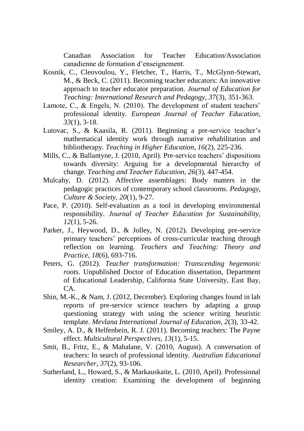Canadian Association for Teacher Education/Association canadienne de formation d'enseignement.

- Kosnik, C., Cleovoulou, Y., Fletcher, T., Harris, T., McGlynn-Stewart, M., & Beck, C. (2011). Becoming teacher educators: An innovative approach to teacher educator preparation. *Journal of Education for Teaching: International Research and Pedagogy, 37*(3), 351-363.
- Lamote, C., & Engels, N. (2010). The development of student teachers' professional identity. *European Journal of Teacher Education, 33*(1), 3-18.
- Lutovac, S., & Kaasila, R. (2011). Beginning a pre-service teacher's mathematical identity work through narrative rehabilitation and bibliotherapy. *Teaching in Higher Education, 16*(2), 225-236.
- Mills, C., & Ballantyne, J. (2010, April). Pre-service teachers' dispositions towards diversity: Arguing for a developmental hierarchy of change. *Teaching and Teacher Education, 26*(3), 447-454.
- Mulcahy, D. (2012). Affective assemblages: Body matters in the pedagogic practices of contemporary school classrooms. *Pedagogy, Culture & Society, 20*(1), 9-27.
- Pace, P. (2010). Self-evaluation as a tool in developing environmental responsibility. *Journal of Teacher Education for Sustainability, 12*(1), 5-26.
- Parker, J., Heywood, D., & Jolley, N. (2012). Developing pre-service primary teachers' perceptions of cross-curricular teaching through reflection on learning. *Teachers and Teaching: Theory and Practice, 18*(6), 693-716.
- Peters, G. (2012). *Teacher transformation: Transcending hegemonic roots.* Unpublished Doctor of Education dissertation, Department of Educational Leadership, California State University, East Bay,  $CA$
- Shin, M.-K., & Nam, J. (2012, December). Exploring changes found in lab reports of pre-service science teachers by adapting a group questioning strategy with using the science writing heuristic template. *Mevlana International Journal of Education, 2*(3), 33-42.
- Smiley, A. D., & Helfenbein, R. J. (2011). Becoming teachers: The Payne effect. *Multicultural Perspectives, 13*(1), 5-15.
- Smit, B., Fritz, E., & Mabalane, V. (2010, August). A conversation of teachers: In search of professional identity. *Australian Educational Researcher, 37*(2), 93-106.
- Sutherland, L., Howard, S., & Markauskaite, L. (2010, April). Professional identity creation: Examining the development of beginning